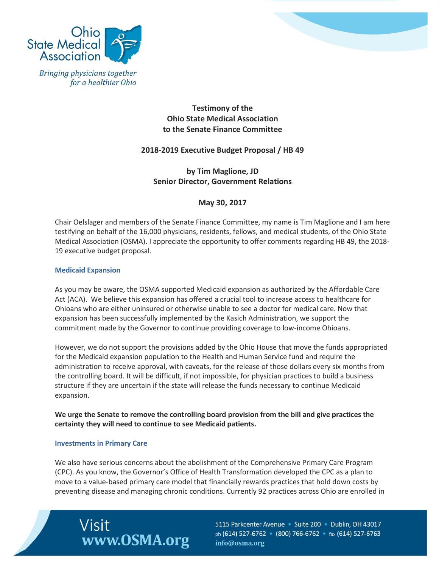



**Testimony of the Ohio State Medical Association to the Senate Finance Committee**

# **2018-2019 Executive Budget Proposal / HB 49**

**by Tim Maglione, JD Senior Director, Government Relations** 

**May 30, 2017**

Chair Oelslager and members of the Senate Finance Committee, my name is Tim Maglione and I am here testifying on behalf of the 16,000 physicians, residents, fellows, and medical students, of the Ohio State Medical Association (OSMA). I appreciate the opportunity to offer comments regarding HB 49, the 2018- 19 executive budget proposal.

## **Medicaid Expansion**

As you may be aware, the OSMA supported Medicaid expansion as authorized by the Affordable Care Act (ACA). We believe this expansion has offered a crucial tool to increase access to healthcare for Ohioans who are either uninsured or otherwise unable to see a doctor for medical care. Now that expansion has been successfully implemented by the Kasich Administration, we support the commitment made by the Governor to continue providing coverage to low-income Ohioans.

However, we do not support the provisions added by the Ohio House that move the funds appropriated for the Medicaid expansion population to the Health and Human Service fund and require the administration to receive approval, with caveats, for the release of those dollars every six months from the controlling board. It will be difficult, if not impossible, for physician practices to build a business structure if they are uncertain if the state will release the funds necessary to continue Medicaid expansion.

**We urge the Senate to remove the controlling board provision from the bill and give practices the certainty they will need to continue to see Medicaid patients.** 

### **Investments in Primary Care**

We also have serious concerns about the abolishment of the Comprehensive Primary Care Program (CPC). As you know, the Governor's Office of Health Transformation developed the CPC as a plan to move to a value-based primary care model that financially rewards practices that hold down costs by preventing disease and managing chronic conditions. Currently 92 practices across Ohio are enrolled in



5115 Parkcenter Avenue · Suite 200 · Dublin, OH 43017 ph (614) 527-6762 (800) 766-6762 (fax (614) 527-6763 info@osma.org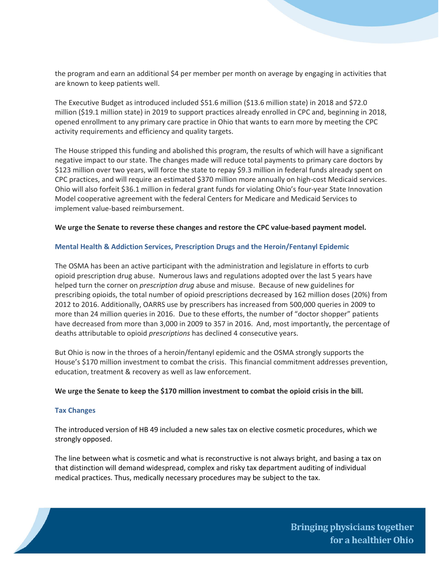the program and earn an additional \$4 per member per month on average by engaging in activities that are known to keep patients well.

The Executive Budget as introduced included \$51.6 million (\$13.6 million state) in 2018 and \$72.0 million (\$19.1 million state) in 2019 to support practices already enrolled in CPC and, beginning in 2018, opened enrollment to any primary care practice in Ohio that wants to earn more by meeting the CPC activity requirements and efficiency and quality targets.

The House stripped this funding and abolished this program, the results of which will have a significant negative impact to our state. The changes made will reduce total payments to primary care doctors by \$123 million over two years, will force the state to repay \$9.3 million in federal funds already spent on CPC practices, and will require an estimated \$370 million more annually on high-cost Medicaid services. Ohio will also forfeit \$36.1 million in federal grant funds for violating Ohio's four-year State Innovation Model cooperative agreement with the federal Centers for Medicare and Medicaid Services to implement value-based reimbursement.

## **We urge the Senate to reverse these changes and restore the CPC value-based payment model.**

### **Mental Health & Addiction Services, Prescription Drugs and the Heroin/Fentanyl Epidemic**

The OSMA has been an active participant with the administration and legislature in efforts to curb opioid prescription drug abuse. Numerous laws and regulations adopted over the last 5 years have helped turn the corner on *prescription drug* abuse and misuse. Because of new guidelines for prescribing opioids, the total number of opioid prescriptions decreased by 162 million doses (20%) from 2012 to 2016. Additionally, OARRS use by prescribers has increased from 500,000 queries in 2009 to more than 24 million queries in 2016. Due to these efforts, the number of "doctor shopper" patients have decreased from more than 3,000 in 2009 to 357 in 2016. And, most importantly, the percentage of deaths attributable to opioid *prescriptions* has declined 4 consecutive years.

But Ohio is now in the throes of a heroin/fentanyl epidemic and the OSMA strongly supports the House's \$170 million investment to combat the crisis. This financial commitment addresses prevention, education, treatment & recovery as well as law enforcement.

### **We urge the Senate to keep the \$170 million investment to combat the opioid crisis in the bill.**

### **Tax Changes**

The introduced version of HB 49 included a new sales tax on elective cosmetic procedures, which we strongly opposed.

The line between what is cosmetic and what is reconstructive is not always bright, and basing a tax on that distinction will demand widespread, complex and risky tax department auditing of individual medical practices. Thus, medically necessary procedures may be subject to the tax.

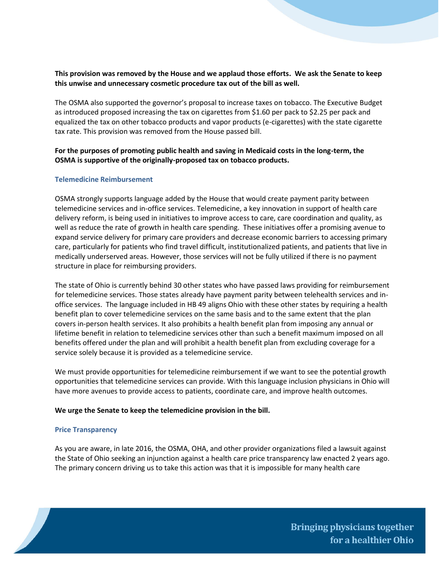# **This provision was removed by the House and we applaud those efforts. We ask the Senate to keep this unwise and unnecessary cosmetic procedure tax out of the bill as well.**

The OSMA also supported the governor's proposal to increase taxes on tobacco. The Executive Budget as introduced proposed increasing the tax on cigarettes from \$1.60 per pack to \$2.25 per pack and equalized the tax on other tobacco products and vapor products (e-cigarettes) with the state cigarette tax rate. This provision was removed from the House passed bill.

# **For the purposes of promoting public health and saving in Medicaid costs in the long-term, the OSMA is supportive of the originally-proposed tax on tobacco products.**

# **Telemedicine Reimbursement**

OSMA strongly supports language added by the House that would create payment parity between telemedicine services and in-office services. Telemedicine, a key innovation in support of health care delivery reform, is being used in initiatives to improve access to care, care coordination and quality, as well as reduce the rate of growth in health care spending. These initiatives offer a promising avenue to expand service delivery for primary care providers and decrease economic barriers to accessing primary care, particularly for patients who find travel difficult, institutionalized patients, and patients that live in medically underserved areas. However, those services will not be fully utilized if there is no payment structure in place for reimbursing providers.

The state of Ohio is currently behind 30 other states who have passed laws providing for reimbursement for telemedicine services. Those states already have payment parity between telehealth services and inoffice services. The language included in HB 49 aligns Ohio with these other states by requiring a health benefit plan to cover telemedicine services on the same basis and to the same extent that the plan covers in-person health services. It also prohibits a health benefit plan from imposing any annual or lifetime benefit in relation to telemedicine services other than such a benefit maximum imposed on all benefits offered under the plan and will prohibit a health benefit plan from excluding coverage for a service solely because it is provided as a telemedicine service.

We must provide opportunities for telemedicine reimbursement if we want to see the potential growth opportunities that telemedicine services can provide. With this language inclusion physicians in Ohio will have more avenues to provide access to patients, coordinate care, and improve health outcomes.

## **We urge the Senate to keep the telemedicine provision in the bill.**

## **Price Transparency**

As you are aware, in late 2016, the OSMA, OHA, and other provider organizations filed a lawsuit against the State of Ohio seeking an injunction against a health care price transparency law enacted 2 years ago. The primary concern driving us to take this action was that it is impossible for many health care